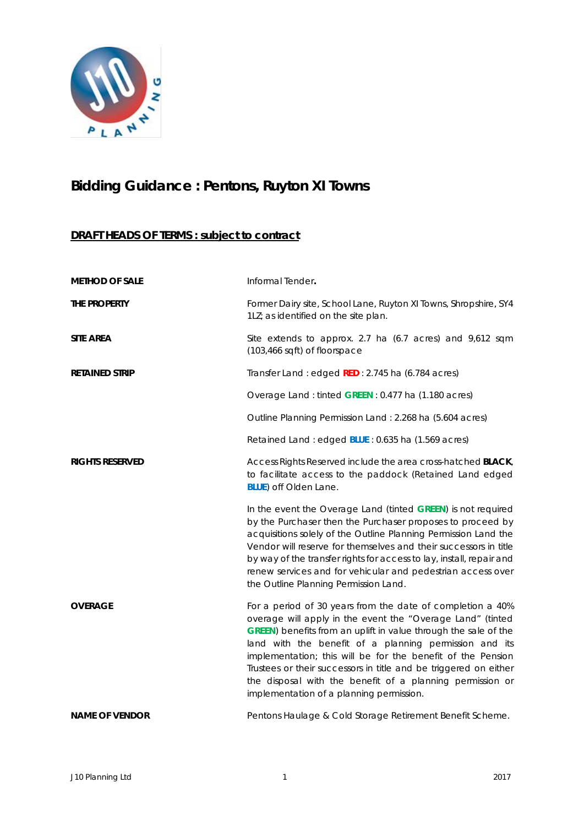

# **Bidding Guidance : Pentons, Ruyton XI Towns**

# **DRAFT HEADS OF TERMS : subject to contract**

| <b>METHOD OF SALE</b>  | Informal Tender.                                                                                                                                                                                                                                                                                                                                                                                                                                                                                  |
|------------------------|---------------------------------------------------------------------------------------------------------------------------------------------------------------------------------------------------------------------------------------------------------------------------------------------------------------------------------------------------------------------------------------------------------------------------------------------------------------------------------------------------|
| THE PROPERTY           | Former Dairy site, School Lane, Ruyton XI Towns, Shropshire, SY4<br>1LZ; as identified on the site plan.                                                                                                                                                                                                                                                                                                                                                                                          |
| <b>SITE AREA</b>       | Site extends to approx. 2.7 ha (6.7 acres) and 9,612 sqm<br>(103,466 sqft) of floorspace                                                                                                                                                                                                                                                                                                                                                                                                          |
| <b>RETAINED STRIP</b>  | Transfer Land: edged RED: 2.745 ha (6.784 acres)                                                                                                                                                                                                                                                                                                                                                                                                                                                  |
|                        | Overage Land: tinted GREEN: 0.477 ha (1.180 acres)                                                                                                                                                                                                                                                                                                                                                                                                                                                |
|                        | Outline Planning Permission Land: 2.268 ha (5.604 acres)                                                                                                                                                                                                                                                                                                                                                                                                                                          |
|                        | Retained Land: edged BLUE: 0.635 ha (1.569 acres)                                                                                                                                                                                                                                                                                                                                                                                                                                                 |
| <b>RIGHTS RESERVED</b> | Access Rights Reserved include the area cross-hatched BLACK,<br>to facilitate access to the paddock (Retained Land edged<br><b>BLUE</b> ) off Olden Lane.                                                                                                                                                                                                                                                                                                                                         |
|                        | In the event the Overage Land (tinted GREEN) is not required<br>by the Purchaser then the Purchaser proposes to proceed by<br>acquisitions solely of the Outline Planning Permission Land the<br>Vendor will reserve for themselves and their successors in title<br>by way of the transfer rights for access to lay, install, repair and<br>renew services and for vehicular and pedestrian access over<br>the Outline Planning Permission Land.                                                 |
| <b>OVERAGE</b>         | For a period of 30 years from the date of completion a 40%<br>overage will apply in the event the "Overage Land" (tinted<br>GREEN) benefits from an uplift in value through the sale of the<br>land with the benefit of a planning permission and its<br>implementation; this will be for the benefit of the Pension<br>Trustees or their successors in title and be triggered on either<br>the disposal with the benefit of a planning permission or<br>implementation of a planning permission. |
| <b>NAME OF VENDOR</b>  | Pentons Haulage & Cold Storage Retirement Benefit Scheme.                                                                                                                                                                                                                                                                                                                                                                                                                                         |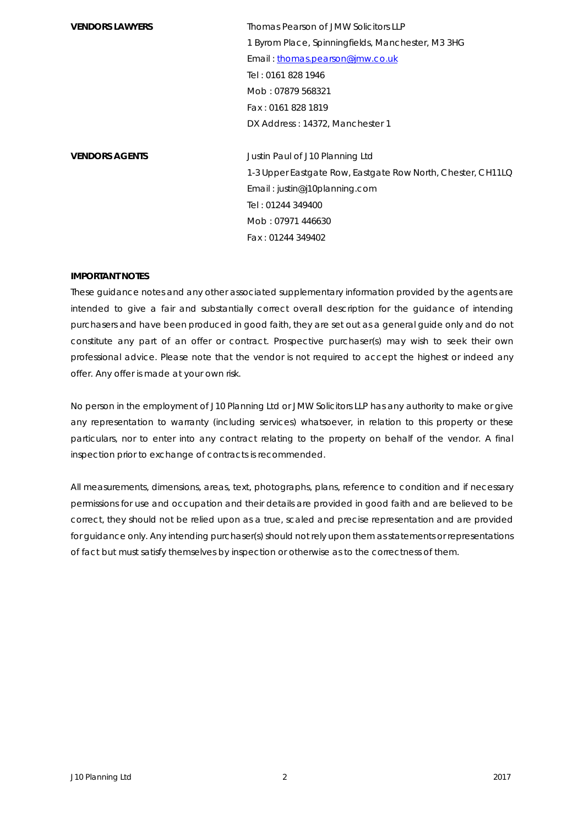**VENDORS LAWYERS** Thomas Pearson of JMW Solicitors LLP 1 Byrom Place, Spinningfields, Manchester, M3 3HG Email [: thomas.pearson@jmw.co.uk](mailto:thomas.pearson@jmw.co.uk) Tel : 0161 828 1946 Mob : 07879 568321 Fax : 0161 828 1819 DX Address : 14372, Manchester 1

**VENDORS AGENTS VENDORS Justin Paul of J10 Planning Ltd** 1-3 Upper Eastgate Row, Eastgate Row North, Chester, CH11LQ Email : justin@j10planning.com Tel : 01244 349400 Mob : 07971 446630 Fax : 01244 349402

#### **IMPORTANT NOTES**

These guidance notes and any other associated supplementary information provided by the agents are intended to give a fair and substantially correct overall description for the guidance of intending purchasers and have been produced in good faith, they are set out as a general guide only and do not constitute any part of an offer or contract. Prospective purchaser(s) may wish to seek their own professional advice. Please note that the vendor is not required to accept the highest or indeed any offer. Any offer is made at your own risk.

No person in the employment of J10 Planning Ltd or JMW Solicitors LLP has any authority to make or give any representation to warranty (including services) whatsoever, in relation to this property or these particulars, nor to enter into any contract relating to the property on behalf of the vendor. A final inspection prior to exchange of contracts is recommended.

All measurements, dimensions, areas, text, photographs, plans, reference to condition and if necessary permissions for use and occupation and their details are provided in good faith and are believed to be correct, they should not be relied upon as a true, scaled and precise representation and are provided for guidance only. Any intending purchaser(s) should not rely upon them as statements or representations of fact but must satisfy themselves by inspection or otherwise as to the correctness of them.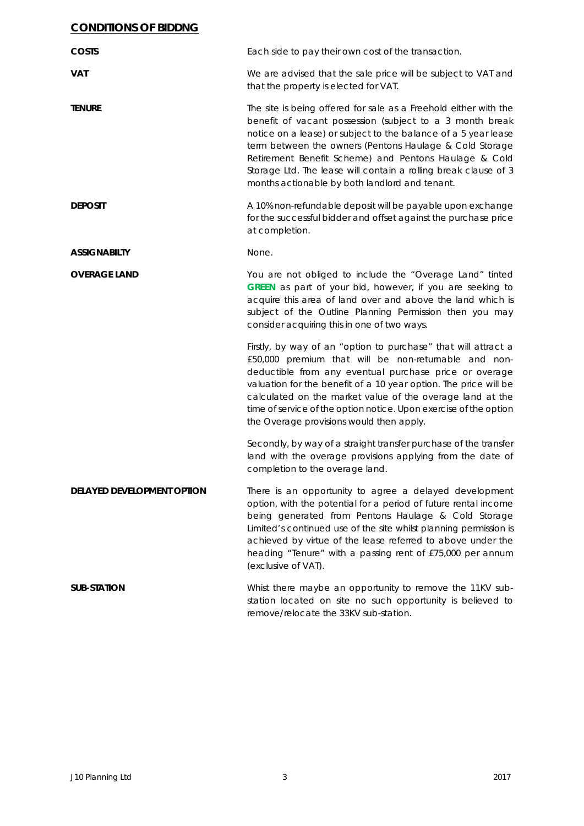### **CONDITIONS OF BIDDNG**

| <b>COSTS</b>               | Each side to pay their own cost of the transaction.                                                                                                                                                                                                                                                                                                                                                                                     |
|----------------------------|-----------------------------------------------------------------------------------------------------------------------------------------------------------------------------------------------------------------------------------------------------------------------------------------------------------------------------------------------------------------------------------------------------------------------------------------|
| <b>VAT</b>                 | We are advised that the sale price will be subject to VAT and<br>that the property is elected for VAT.                                                                                                                                                                                                                                                                                                                                  |
| <b>TENURE</b>              | The site is being offered for sale as a Freehold either with the<br>benefit of vacant possession (subject to a 3 month break<br>notice on a lease) or subject to the balance of a 5 year lease<br>term between the owners (Pentons Haulage & Cold Storage<br>Retirement Benefit Scheme) and Pentons Haulage & Cold<br>Storage Ltd. The lease will contain a rolling break clause of 3<br>months actionable by both landlord and tenant. |
| <b>DEPOSIT</b>             | A 10% non-refundable deposit will be payable upon exchange<br>for the successful bidder and offset against the purchase price<br>at completion.                                                                                                                                                                                                                                                                                         |
| <b>ASSIGNABILTY</b>        | None.                                                                                                                                                                                                                                                                                                                                                                                                                                   |
| <b>OVERAGE LAND</b>        | You are not obliged to include the "Overage Land" tinted<br>GREEN as part of your bid, however, if you are seeking to<br>acquire this area of land over and above the land which is<br>subject of the Outline Planning Permission then you may<br>consider acquiring this in one of two ways.                                                                                                                                           |
|                            | Firstly, by way of an "option to purchase" that will attract a<br>£50,000 premium that will be non-returnable and non-<br>deductible from any eventual purchase price or overage<br>valuation for the benefit of a 10 year option. The price will be<br>calculated on the market value of the overage land at the<br>time of service of the option notice. Upon exercise of the option<br>the Overage provisions would then apply.      |
|                            | Secondly, by way of a straight transfer purchase of the transfer<br>land with the overage provisions applying from the date of<br>completion to the overage land.                                                                                                                                                                                                                                                                       |
| DELAYED DEVELOPMENT OPTION | There is an opportunity to agree a delayed development<br>option, with the potential for a period of future rental income<br>being generated from Pentons Haulage & Cold Storage<br>Limited's continued use of the site whilst planning permission is<br>achieved by virtue of the lease referred to above under the<br>heading "Tenure" with a passing rent of £75,000 per annum<br>(exclusive of VAT).                                |
| <b>SUB-STATION</b>         | Whist there maybe an opportunity to remove the 11KV sub-<br>station located on site no such opportunity is believed to<br>remove/relocate the 33KV sub-station.                                                                                                                                                                                                                                                                         |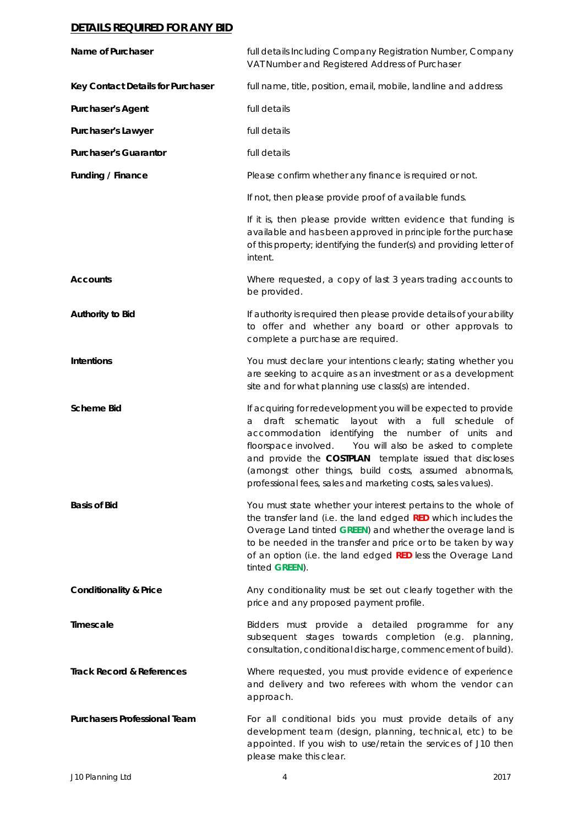#### **DETAILS REQUIRED FOR ANY BID**

| Name of Purchaser                    | full details Including Company Registration Number, Company<br>VAT Number and Registered Address of Purchaser                                                                                                                                                                                                                                                                                                                        |
|--------------------------------------|--------------------------------------------------------------------------------------------------------------------------------------------------------------------------------------------------------------------------------------------------------------------------------------------------------------------------------------------------------------------------------------------------------------------------------------|
| Key Contact Details for Purchaser    | full name, title, position, email, mobile, landline and address                                                                                                                                                                                                                                                                                                                                                                      |
| <b>Purchaser's Agent</b>             | full details                                                                                                                                                                                                                                                                                                                                                                                                                         |
| Purchaser's Lawyer                   | full details                                                                                                                                                                                                                                                                                                                                                                                                                         |
| <b>Purchaser's Guarantor</b>         | full details                                                                                                                                                                                                                                                                                                                                                                                                                         |
| Funding / Finance                    | Please confirm whether any finance is required or not.                                                                                                                                                                                                                                                                                                                                                                               |
|                                      | If not, then please provide proof of available funds.                                                                                                                                                                                                                                                                                                                                                                                |
|                                      | If it is, then please provide written evidence that funding is<br>available and has been approved in principle for the purchase<br>of this property; identifying the funder(s) and providing letter of<br>intent.                                                                                                                                                                                                                    |
| <b>Accounts</b>                      | Where requested, a copy of last 3 years trading accounts to<br>be provided.                                                                                                                                                                                                                                                                                                                                                          |
| Authority to Bid                     | If authority is required then please provide details of your ability<br>to offer and whether any board or other approvals to<br>complete a purchase are required.                                                                                                                                                                                                                                                                    |
| Intentions                           | You must declare your intentions clearly; stating whether you<br>are seeking to acquire as an investment or as a development<br>site and for what planning use class(s) are intended.                                                                                                                                                                                                                                                |
| <b>Scheme Bid</b>                    | If acquiring for redevelopment you will be expected to provide<br>draft schematic<br>layout with a full schedule of<br>а<br>accommodation identifying the number of units and<br>floorspace involved. You will also be asked to complete<br>and provide the <b>COSTPLAN</b> template issued that discloses<br>(amongst other things, build costs, assumed abnormals,<br>professional fees, sales and marketing costs, sales values). |
| <b>Basis of Bid</b>                  | You must state whether your interest pertains to the whole of<br>the transfer land (i.e. the land edged RED which includes the<br>Overage Land tinted GREEN) and whether the overage land is<br>to be needed in the transfer and price or to be taken by way<br>of an option (i.e. the land edged RED less the Overage Land<br>tinted GREEN).                                                                                        |
| <b>Conditionality &amp; Price</b>    | Any conditionality must be set out clearly together with the<br>price and any proposed payment profile.                                                                                                                                                                                                                                                                                                                              |
| Timescale                            | Bidders must provide a detailed programme for any<br>subsequent stages towards completion (e.g. planning,<br>consultation, conditional discharge, commencement of build).                                                                                                                                                                                                                                                            |
| <b>Track Record &amp; References</b> | Where requested, you must provide evidence of experience<br>and delivery and two referees with whom the vendor can<br>approach.                                                                                                                                                                                                                                                                                                      |
| <b>Purchasers Professional Team</b>  | For all conditional bids you must provide details of any<br>development team (design, planning, technical, etc) to be<br>appointed. If you wish to use/retain the services of J10 then<br>please make this clear.                                                                                                                                                                                                                    |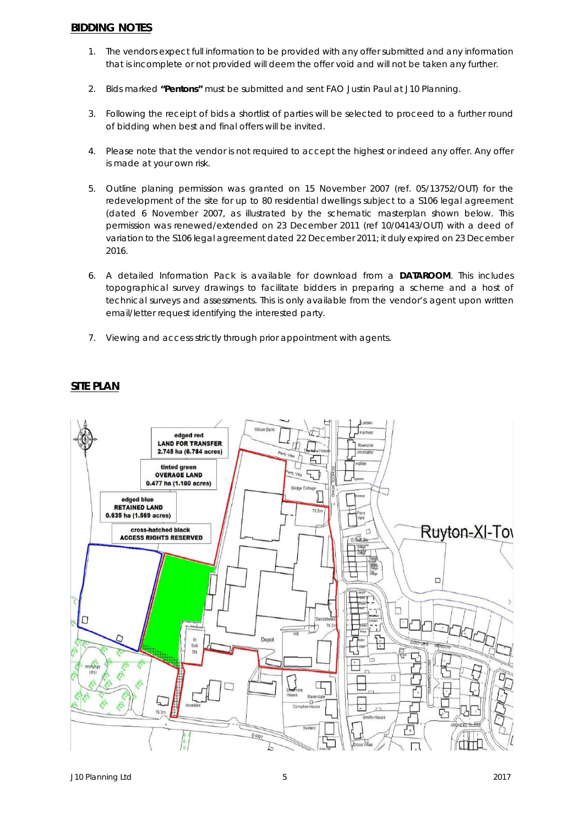#### **BIDDING NOTES**

- 1. The vendors expect full information to be provided with any offer submitted and any information that is incomplete or not provided will deem the offer void and will not be taken any further.
- 2. Bids marked **"Pentons"** must be submitted and sent FAO Justin Paul at J10 Planning.
- 3. Following the receipt of bids a shortlist of parties will be selected to proceed to a further round of bidding when best and final offers will be invited.
- 4. Please note that the vendor is not required to accept the highest or indeed any offer. Any offer is made at your own risk.
- 5. Outline planing permission was granted on 15 November 2007 (ref. 05/13752/OUT) for the redevelopment of the site for up to 80 residential dwellings subject to a S106 legal agreement (dated 6 November 2007, as illustrated by the schematic masterplan shown below. This permission was renewed/extended on 23 December 2011 (ref 10/04143/OUT) with a deed of variation to the S106 legal agreement dated 22 December 2011; it duly expired on 23 December 2016.
- 6. A detailed Information Pack is available for download from a **DATAROOM**. This includes topographical survey drawings to facilitate bidders in preparing a scheme and a host of technical surveys and assessments. This is only available from the vendor's agent upon written email/letter request identifying the interested party.
- 7. Viewing and access strictly through prior appointment with agents.



## **SITE PLAN**